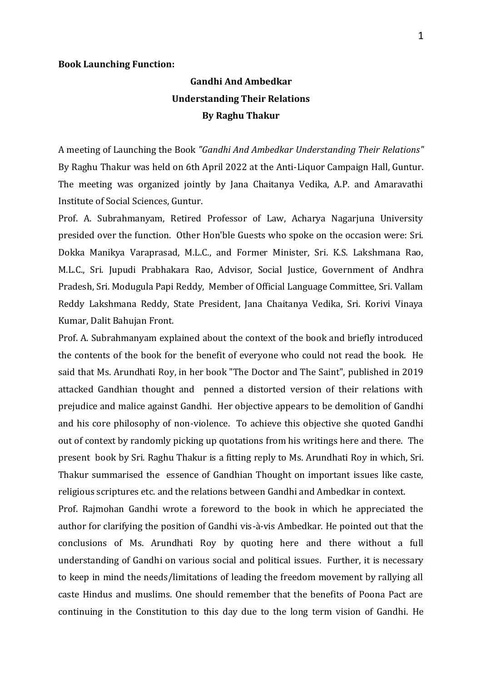## **Book Launching Function:**

## **Gandhi And Ambedkar Understanding Their Relations By Raghu Thakur**

A meeting of Launching the Book *"Gandhi And Ambedkar Understanding Their Relations"* By Raghu Thakur was held on 6th April 2022 at the Anti-Liquor Campaign Hall, Guntur. The meeting was organized jointly by Jana Chaitanya Vedika, A.P. and Amaravathi Institute of Social Sciences, Guntur.

Prof. A. Subrahmanyam, Retired Professor of Law, Acharya Nagarjuna University presided over the function. Other Hon'ble Guests who spoke on the occasion were: Sri. Dokka Manikya Varaprasad, M.L.C., and Former Minister, Sri. K.S. Lakshmana Rao, M.L.C., Sri. Jupudi Prabhakara Rao, Advisor, Social Justice, Government of Andhra Pradesh, Sri. Modugula Papi Reddy, Member of Official Language Committee, Sri. Vallam Reddy Lakshmana Reddy, State President, Jana Chaitanya Vedika, Sri. Korivi Vinaya Kumar, Dalit Bahujan Front.

Prof. A. Subrahmanyam explained about the context of the book and briefly introduced the contents of the book for the benefit of everyone who could not read the book. He said that Ms. Arundhati Roy, in her book "The Doctor and The Saint", published in 2019 attacked Gandhian thought and penned a distorted version of their relations with prejudice and malice against Gandhi. Her objective appears to be demolition of Gandhi and his core philosophy of non-violence. To achieve this objective she quoted Gandhi out of context by randomly picking up quotations from his writings here and there. The present book by Sri. Raghu Thakur is a fitting reply to Ms. Arundhati Roy in which, Sri. Thakur summarised the essence of Gandhian Thought on important issues like caste, religious scriptures etc. and the relations between Gandhi and Ambedkar in context.

Prof. Rajmohan Gandhi wrote a foreword to the book in which he appreciated the author for clarifying the position of Gandhi vis-à-vis Ambedkar. He pointed out that the conclusions of Ms. Arundhati Roy by quoting here and there without a full understanding of Gandhi on various social and political issues. Further, it is necessary to keep in mind the needs/limitations of leading the freedom movement by rallying all caste Hindus and muslims. One should remember that the benefits of Poona Pact are continuing in the Constitution to this day due to the long term vision of Gandhi. He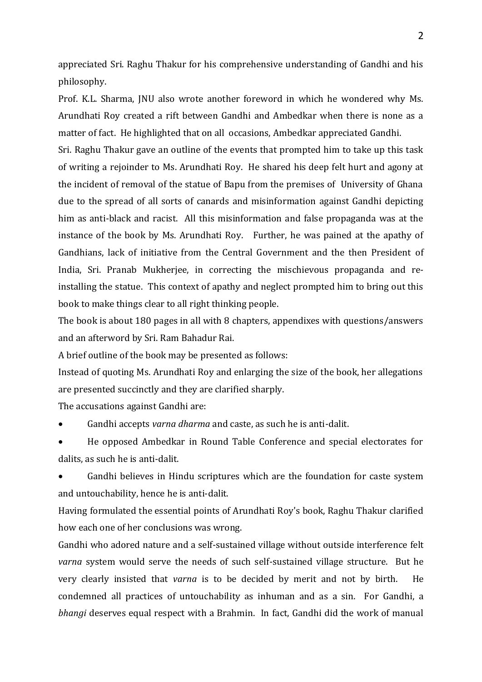appreciated Sri. Raghu Thakur for his comprehensive understanding of Gandhi and his philosophy.

Prof. K.L. Sharma, JNU also wrote another foreword in which he wondered why Ms. Arundhati Roy created a rift between Gandhi and Ambedkar when there is none as a matter of fact. He highlighted that on all occasions, Ambedkar appreciated Gandhi.

Sri. Raghu Thakur gave an outline of the events that prompted him to take up this task of writing a rejoinder to Ms. Arundhati Roy. He shared his deep felt hurt and agony at the incident of removal of the statue of Bapu from the premises of University of Ghana due to the spread of all sorts of canards and misinformation against Gandhi depicting him as anti-black and racist. All this misinformation and false propaganda was at the instance of the book by Ms. Arundhati Roy. Further, he was pained at the apathy of Gandhians, lack of initiative from the Central Government and the then President of India, Sri. Pranab Mukherjee, in correcting the mischievous propaganda and reinstalling the statue. This context of apathy and neglect prompted him to bring out this book to make things clear to all right thinking people.

The book is about 180 pages in all with 8 chapters, appendixes with questions/answers and an afterword by Sri. Ram Bahadur Rai.

A brief outline of the book may be presented as follows:

Instead of quoting Ms. Arundhati Roy and enlarging the size of the book, her allegations are presented succinctly and they are clarified sharply.

The accusations against Gandhi are:

• Gandhi accepts *varna dharma* and caste, as such he is anti-dalit.

• He opposed Ambedkar in Round Table Conference and special electorates for dalits, as such he is anti-dalit.

Gandhi believes in Hindu scriptures which are the foundation for caste system and untouchability, hence he is anti-dalit.

Having formulated the essential points of Arundhati Roy's book, Raghu Thakur clarified how each one of her conclusions was wrong.

Gandhi who adored nature and a self-sustained village without outside interference felt *varna* system would serve the needs of such self-sustained village structure. But he very clearly insisted that *varna* is to be decided by merit and not by birth. He condemned all practices of untouchability as inhuman and as a sin. For Gandhi, a *bhangi* deserves equal respect with a Brahmin. In fact, Gandhi did the work of manual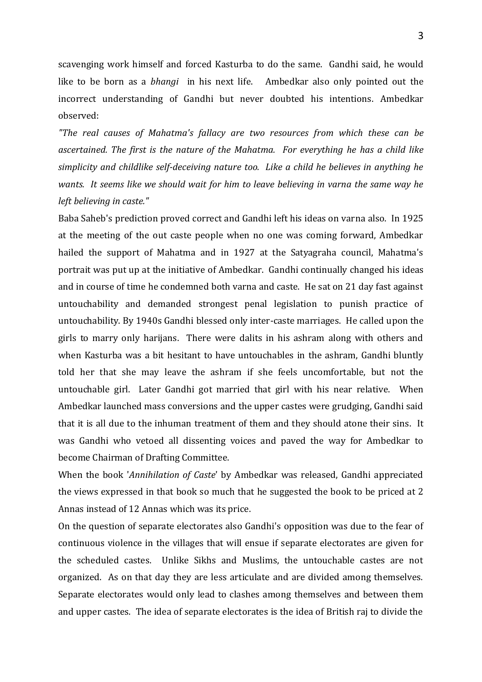scavenging work himself and forced Kasturba to do the same. Gandhi said, he would like to be born as a *bhangi* in his next life. Ambedkar also only pointed out the incorrect understanding of Gandhi but never doubted his intentions. Ambedkar observed:

*"The real causes of Mahatma's fallacy are two resources from which these can be ascertained. The first is the nature of the Mahatma. For everything he has a child like simplicity and childlike self-deceiving nature too. Like a child he believes in anything he wants. It seems like we should wait for him to leave believing in varna the same way he left believing in caste."* 

Baba Saheb's prediction proved correct and Gandhi left his ideas on varna also. In 1925 at the meeting of the out caste people when no one was coming forward, Ambedkar hailed the support of Mahatma and in 1927 at the Satyagraha council, Mahatma's portrait was put up at the initiative of Ambedkar. Gandhi continually changed his ideas and in course of time he condemned both varna and caste. He sat on 21 day fast against untouchability and demanded strongest penal legislation to punish practice of untouchability. By 1940s Gandhi blessed only inter-caste marriages. He called upon the girls to marry only harijans. There were dalits in his ashram along with others and when Kasturba was a bit hesitant to have untouchables in the ashram, Gandhi bluntly told her that she may leave the ashram if she feels uncomfortable, but not the untouchable girl. Later Gandhi got married that girl with his near relative. When Ambedkar launched mass conversions and the upper castes were grudging, Gandhi said that it is all due to the inhuman treatment of them and they should atone their sins. It was Gandhi who vetoed all dissenting voices and paved the way for Ambedkar to become Chairman of Drafting Committee.

When the book '*Annihilation of Caste*' by Ambedkar was released, Gandhi appreciated the views expressed in that book so much that he suggested the book to be priced at 2 Annas instead of 12 Annas which was its price.

On the question of separate electorates also Gandhi's opposition was due to the fear of continuous violence in the villages that will ensue if separate electorates are given for the scheduled castes. Unlike Sikhs and Muslims, the untouchable castes are not organized. As on that day they are less articulate and are divided among themselves. Separate electorates would only lead to clashes among themselves and between them and upper castes. The idea of separate electorates is the idea of British raj to divide the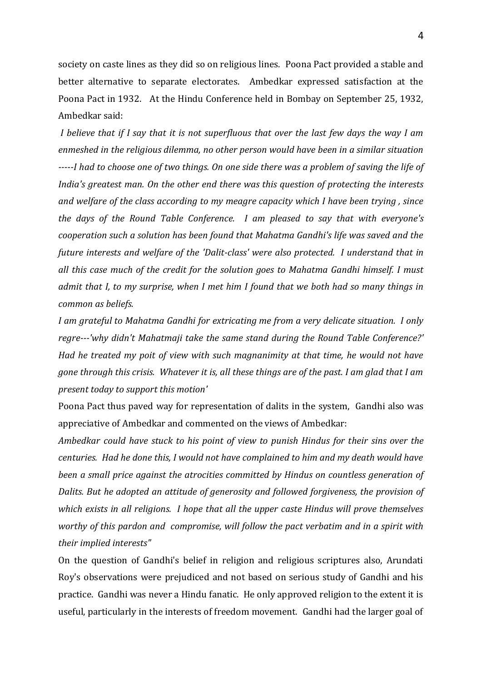society on caste lines as they did so on religious lines. Poona Pact provided a stable and better alternative to separate electorates. Ambedkar expressed satisfaction at the Poona Pact in 1932. At the Hindu Conference held in Bombay on September 25, 1932, Ambedkar said:

*I believe that if I say that it is not superfluous that over the last few days the way I am enmeshed in the religious dilemma, no other person would have been in a similar situation -----I had to choose one of two things. On one side there was a problem of saving the life of India's greatest man. On the other end there was this question of protecting the interests and welfare of the class according to my meagre capacity which I have been trying , since the days of the Round Table Conference. I am pleased to say that with everyone's cooperation such a solution has been found that Mahatma Gandhi's life was saved and the future interests and welfare of the 'Dalit-class' were also protected. I understand that in all this case much of the credit for the solution goes to Mahatma Gandhi himself. I must admit that I, to my surprise, when I met him I found that we both had so many things in common as beliefs.*

*I am grateful to Mahatma Gandhi for extricating me from a very delicate situation. I only regre---'why didn't Mahatmaji take the same stand during the Round Table Conference?' Had he treated my poit of view with such magnanimity at that time, he would not have gone through this crisis. Whatever it is, all these things are of the past. I am glad that I am present today to support this motion'*

Poona Pact thus paved way for representation of dalits in the system, Gandhi also was appreciative of Ambedkar and commented on the views of Ambedkar:

*Ambedkar could have stuck to his point of view to punish Hindus for their sins over the centuries. Had he done this, I would not have complained to him and my death would have been a small price against the atrocities committed by Hindus on countless generation of Dalits. But he adopted an attitude of generosity and followed forgiveness, the provision of which exists in all religions. I hope that all the upper caste Hindus will prove themselves worthy of this pardon and compromise, will follow the pact verbatim and in a spirit with their implied interests"*

On the question of Gandhi's belief in religion and religious scriptures also, Arundati Roy's observations were prejudiced and not based on serious study of Gandhi and his practice. Gandhi was never a Hindu fanatic. He only approved religion to the extent it is useful, particularly in the interests of freedom movement. Gandhi had the larger goal of